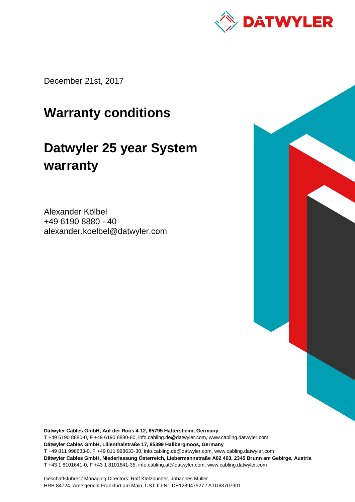

December 21st, 2017

# **Warranty conditions**

# **Datwyler 25 year System warranty**

Alexander Kölbel +49 6190 8880 - 40 alexander.koelbel@datwyler.com

**Dätwyler Cables GmbH, Auf der Roos 4-12, 65795 Hattersheim, Germany** T +49 6190 8880-0, F +49 6190 8880-80, info.cabling.de@datwyler.com, www.cabling.datwyler.com **Dätwyler Cables GmbH, Lilienthalstraße 17, 85399 Hallbergmoos, Germany** T +49 811 998633-0, F +49 811 998633-30, info.cabling.de@datwyler.com, www.cabling.datwyler.com **Dätwyler Cables GmbH, Niederlassung Österreich, Liebermannstraße A02 403, 2345 Brunn am Gebirge, Austria** T +43 1 8101641-0, F +43 1 8101641-35, info.cabling.at@datwyler.com, www.cabling.datwyler.com

Geschäftsführer / Managing Directors: Ralf Klotzbücher, Johannes Müller HRB 84724, Amtsgericht Frankfurt am Main, UST-ID-Nr. DE128947927 / ATU63707901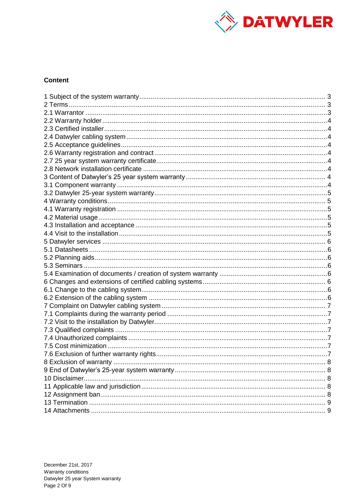

# **Content**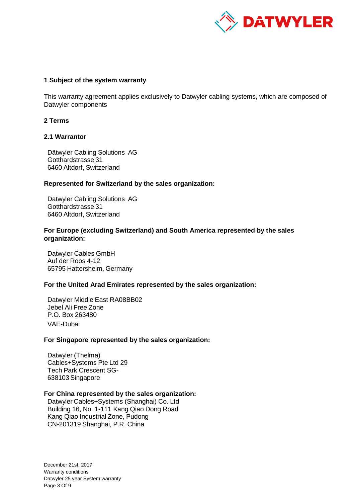

#### <span id="page-2-0"></span>**1 Subject of the system warranty**

This warranty agreement applies exclusively to Datwyler cabling systems, which are composed of Datwyler components

#### <span id="page-2-1"></span>**2 Terms**

#### <span id="page-2-2"></span>**2.1 Warrantor**

Dätwyler Cabling Solutions AG Gotthardstrasse 31 6460 Altdorf, Switzerland

#### **Represented for Switzerland by the sales organization:**

Datwyler Cabling Solutions AG Gotthardstrasse 31 6460 Altdorf, Switzerland

#### **For Europe (excluding Switzerland) and South America represented by the sales organization:**

Datwyler Cables GmbH Auf der Roos 4-12 65795 Hattersheim, Germany

# **For the United Arad Emirates represented by the sales organization:**

Datwyler Middle East RA08BB02 Jebel Ali Free Zone P.O. Box 263480 VAE-Dubai

#### **For Singapore represented by the sales organization:**

Datwyler (Thelma) Cables+Systems Pte Ltd 29 Tech Park Crescent SG-638103 Singapore

# **For China represented by the sales organization:**

Datwyler Cables+Systems (Shanghai) Co. Ltd Building 16, No. 1-111 Kang Qiao Dong Road Kang Qiao Industrial Zone, Pudong CN-201319 Shanghai, P.R. China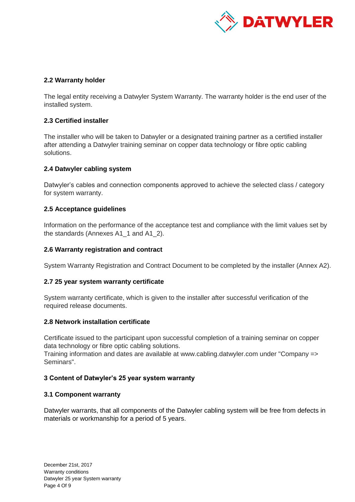

# <span id="page-3-0"></span>**2.2 Warranty holder**

The legal entity receiving a Datwyler System Warranty. The warranty holder is the end user of the installed system.

# <span id="page-3-1"></span>**2.3 Certified installer**

The installer who will be taken to Datwyler or a designated training partner as a certified installer after attending a Datwyler training seminar on copper data technology or fibre optic cabling solutions.

# <span id="page-3-2"></span>**2.4 Datwyler cabling system**

Datwyler's cables and connection components approved to achieve the selected class / category for system warranty.

# <span id="page-3-3"></span>**2.5 Acceptance guidelines**

Information on the performance of the acceptance test and compliance with the limit values set by the standards (Annexes A1\_1 and A1\_2).

# <span id="page-3-4"></span>**2.6 Warranty registration and contract**

System Warranty Registration and Contract Document to be completed by the installer (Annex A2).

# <span id="page-3-5"></span>**2.7 25 year system warranty certificate**

System warranty certificate, which is given to the installer after successful verification of the required release documents.

# <span id="page-3-6"></span>**2.8 Network installation certificate**

Certificate issued to the participant upon successful completion of a training seminar on copper data technology or fibre optic cabling solutions.

Training information and dates are available at www.cabling.datwyler.com under "Company => Seminars".

# <span id="page-3-7"></span>**3 Content of Datwyler's 25 year system warranty**

# <span id="page-3-8"></span>**3.1 Component warranty**

Datwyler warrants, that all components of the Datwyler cabling system will be free from defects in materials or workmanship for a period of 5 years.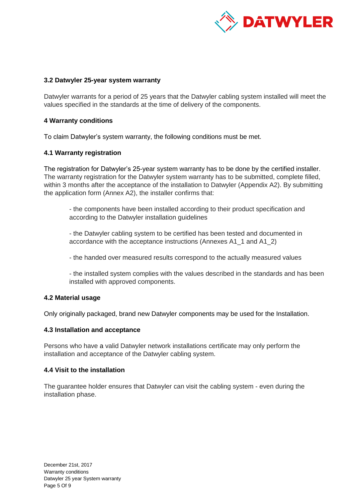

# <span id="page-4-0"></span>**3.2 Datwyler 25-year system warranty**

Datwyler warrants for a period of 25 years that the Datwyler cabling system installed will meet the values specified in the standards at the time of delivery of the components.

# <span id="page-4-1"></span>**4 Warranty conditions**

To claim Datwyler's system warranty, the following conditions must be met.

# <span id="page-4-2"></span>**4.1 Warranty registration**

The registration for Datwyler's 25-year system warranty has to be done by the certified installer. The warranty registration for the Datwyler system warranty has to be submitted, complete filled, within 3 months after the acceptance of the installation to Datwyler (Appendix A2). By submitting the application form (Annex A2), the installer confirms that:

- the components have been installed according to their product specification and according to the Datwyler installation guidelines

- the Datwyler cabling system to be certified has been tested and documented in accordance with the acceptance instructions (Annexes A1\_1 and A1\_2)

- the handed over measured results correspond to the actually measured values

- the installed system complies with the values described in the standards and has been installed with approved components.

# <span id="page-4-3"></span>**4.2 Material usage**

Only originally packaged, brand new Datwyler components may be used for the Installation.

# <span id="page-4-4"></span>**4.3 Installation and acceptance**

Persons who have a valid Datwyler network installations certificate may only perform the installation and acceptance of the Datwyler cabling system.

# <span id="page-4-5"></span>**4.4 Visit to the installation**

The guarantee holder ensures that Datwyler can visit the cabling system - even during the installation phase.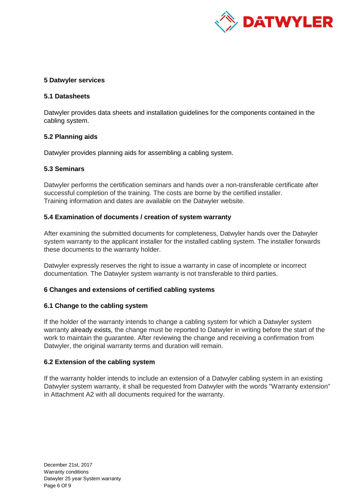

# <span id="page-5-0"></span>**5 Datwyler services**

# <span id="page-5-1"></span>**5.1 Datasheets**

Datwyler provides data sheets and installation guidelines for the components contained in the cabling system.

# <span id="page-5-2"></span>**5.2 Planning aids**

Datwyler provides planning aids for assembling a cabling system.

# <span id="page-5-3"></span>**5.3 Seminars**

Datwyler performs the certification seminars and hands over a non-transferable certificate after successful completion of the training. The costs are borne by the certified installer. Training information and dates are available on the Datwyler website.

# <span id="page-5-4"></span>**5.4 Examination of documents / creation of system warranty**

After examining the submitted documents for completeness, Datwyler hands over the Datwyler system warranty to the applicant installer for the installed cabling system. The installer forwards these documents to the warranty holder.

Datwyler expressly reserves the right to issue a warranty in case of incomplete or incorrect documentation. The Datwyler system warranty is not transferable to third parties.

# <span id="page-5-5"></span>**6 Changes and extensions of certified cabling systems**

# <span id="page-5-6"></span>**6.1 Change to the cabling system**

If the holder of the warranty intends to change a cabling system for which a Datwyler system warranty already exists, the change must be reported to Datwyler in writing before the start of the work to maintain the guarantee. After reviewing the change and receiving a confirmation from Datwyler, the original warranty terms and duration will remain.

# <span id="page-5-7"></span>**6.2 Extension of the cabling system**

If the warranty holder intends to include an extension of a Datwyler cabling system in an existing Datwyler system warranty, it shall be requested from Datwyler with the words "Warranty extension" in Attachment A2 with all documents required for the warranty.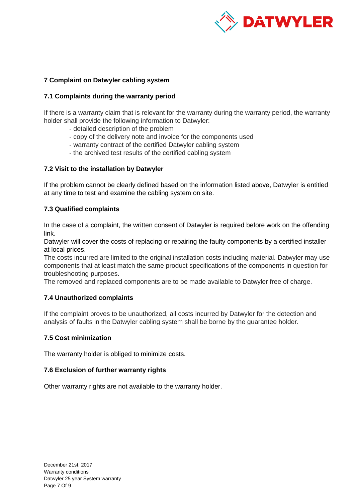

# <span id="page-6-0"></span>**7 Complaint on Datwyler cabling system**

# <span id="page-6-1"></span>**7.1 Complaints during the warranty period**

If there is a warranty claim that is relevant for the warranty during the warranty period, the warranty holder shall provide the following information to Datwyler:

- detailed description of the problem
- copy of the delivery note and invoice for the components used
- warranty contract of the certified Datwyler cabling system
- the archived test results of the certified cabling system

# <span id="page-6-2"></span>**7.2 Visit to the installation by Datwyler**

If the problem cannot be clearly defined based on the information listed above, Datwyler is entitled at any time to test and examine the cabling system on site.

# <span id="page-6-3"></span>**7.3 Qualified complaints**

In the case of a complaint, the written consent of Datwyler is required before work on the offending link.

Datwyler will cover the costs of replacing or repairing the faulty components by a certified installer at local prices.

The costs incurred are limited to the original installation costs including material. Datwyler may use components that at least match the same product specifications of the components in question for troubleshooting purposes.

The removed and replaced components are to be made available to Datwyler free of charge.

# <span id="page-6-4"></span>**7.4 Unauthorized complaints**

If the complaint proves to be unauthorized, all costs incurred by Datwyler for the detection and analysis of faults in the Datwyler cabling system shall be borne by the guarantee holder.

# <span id="page-6-5"></span>**7.5 Cost minimization**

The warranty holder is obliged to minimize costs.

# <span id="page-6-6"></span>**7.6 Exclusion of further warranty rights**

Other warranty rights are not available to the warranty holder.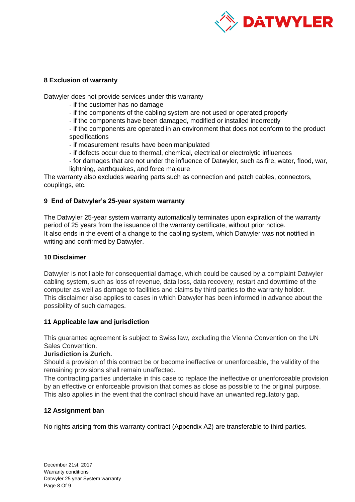

# <span id="page-7-0"></span>**8 Exclusion of warranty**

Datwyler does not provide services under this warranty

- if the customer has no damage
- if the components of the cabling system are not used or operated properly
- if the components have been damaged, modified or installed incorrectly

- if the components are operated in an environment that does not conform to the product specifications

- if measurement results have been manipulated

- if defects occur due to thermal, chemical, electrical or electrolytic influences
- for damages that are not under the influence of Datwyler, such as fire, water, flood, war, lightning, earthquakes, and force majeure

The warranty also excludes wearing parts such as connection and patch cables, connectors, couplings, etc.

# <span id="page-7-1"></span>**9 End of Datwyler's 25-year system warranty**

The Datwyler 25-year system warranty automatically terminates upon expiration of the warranty period of 25 years from the issuance of the warranty certificate, without prior notice. It also ends in the event of a change to the cabling system, which Datwyler was not notified in writing and confirmed by Datwyler.

# <span id="page-7-2"></span>**10 Disclaimer**

Datwyler is not liable for consequential damage, which could be caused by a complaint Datwyler cabling system, such as loss of revenue, data loss, data recovery, restart and downtime of the computer as well as damage to facilities and claims by third parties to the warranty holder. This disclaimer also applies to cases in which Datwyler has been informed in advance about the possibility of such damages.

# <span id="page-7-3"></span>**11 Applicable law and jurisdiction**

This guarantee agreement is subject to Swiss law, excluding the Vienna Convention on the UN Sales Convention.

# **Jurisdiction is Zurich.**

Should a provision of this contract be or become ineffective or unenforceable, the validity of the remaining provisions shall remain unaffected.

The contracting parties undertake in this case to replace the ineffective or unenforceable provision by an effective or enforceable provision that comes as close as possible to the original purpose. This also applies in the event that the contract should have an unwanted regulatory gap.

# <span id="page-7-4"></span>**12 Assignment ban**

No rights arising from this warranty contract (Appendix A2) are transferable to third parties.